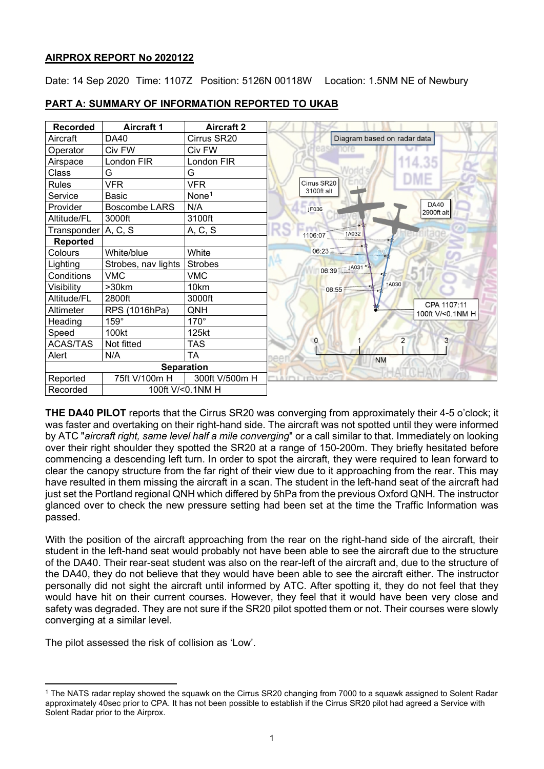## **AIRPROX REPORT No 2020122**

Date: 14 Sep 2020 Time: 1107Z Position: 5126N 00118W Location: 1.5NM NE of Newbury

| <b>Recorded</b>       | <b>Aircraft 1</b>    | <b>Aircraft 2</b> |                                           |
|-----------------------|----------------------|-------------------|-------------------------------------------|
| Aircraft              | DA40                 | Cirrus SR20       | Diagram based on radar data               |
| Operator              | Civ FW               | Civ FW            |                                           |
| Airspace              | London FIR           | London FIR        | 114.35                                    |
| Class                 | G                    | G                 |                                           |
| Rules                 | <b>VFR</b>           | <b>VFR</b>        | Cirrus SR20                               |
| Service               | <b>Basic</b>         | None <sup>1</sup> | 3100ft alt                                |
| Provider              | <b>Boscombe LARS</b> | N/A               | <b>DA40</b><br><b>IF036</b><br>2900ft alt |
| Altitude/FL           | 3000ft               | 3100ft            |                                           |
| Transponder   A, C, S |                      | A, C, S           | ↑A032<br>1106:07                          |
| <b>Reported</b>       |                      |                   |                                           |
| Colours               | White/blue           | White             | 06:23                                     |
| Lighting              | Strobes, nav lights  | <b>Strobes</b>    | 06:39 JA031 **                            |
| Conditions            | <b>VMC</b>           | <b>VMC</b>        |                                           |
| Visibility            | >30km                | 10km              | 1A030<br>06:55                            |
| Altitude/FL           | 2800ft               | 3000ft            | CPA 1107:11                               |
| Altimeter             | RPS (1016hPa)        | QNH               | 100ft V/<0.1NM H                          |
| Heading               | $159^\circ$          | $170^\circ$       |                                           |
| Speed                 | 100kt                | 125kt             |                                           |
| <b>ACAS/TAS</b>       | Not fitted           | <b>TAS</b>        | $\overline{2}$<br>3<br>0                  |
| Alert                 | N/A                  | <b>TA</b>         | <b>NM</b>                                 |
|                       |                      | <b>Separation</b> |                                           |
| Reported              | 75ft V/100m H        | 300ft V/500m H    |                                           |
| Recorded              |                      | 100ft V/<0.1NM H  |                                           |

## **PART A: SUMMARY OF INFORMATION REPORTED TO UKAB**

**THE DA40 PILOT** reports that the Cirrus SR20 was converging from approximately their 4-5 o'clock; it was faster and overtaking on their right-hand side. The aircraft was not spotted until they were informed by ATC "*aircraft right, same level half a mile converging*" or a call similar to that. Immediately on looking over their right shoulder they spotted the SR20 at a range of 150-200m. They briefly hesitated before commencing a descending left turn. In order to spot the aircraft, they were required to lean forward to clear the canopy structure from the far right of their view due to it approaching from the rear. This may have resulted in them missing the aircraft in a scan. The student in the left-hand seat of the aircraft had just set the Portland regional QNH which differed by 5hPa from the previous Oxford QNH. The instructor glanced over to check the new pressure setting had been set at the time the Traffic Information was passed.

With the position of the aircraft approaching from the rear on the right-hand side of the aircraft, their student in the left-hand seat would probably not have been able to see the aircraft due to the structure of the DA40. Their rear-seat student was also on the rear-left of the aircraft and, due to the structure of the DA40, they do not believe that they would have been able to see the aircraft either. The instructor personally did not sight the aircraft until informed by ATC. After spotting it, they do not feel that they would have hit on their current courses. However, they feel that it would have been very close and safety was degraded. They are not sure if the SR20 pilot spotted them or not. Their courses were slowly converging at a similar level.

The pilot assessed the risk of collision as 'Low'.

<span id="page-0-0"></span><sup>1</sup> The NATS radar replay showed the squawk on the Cirrus SR20 changing from 7000 to a squawk assigned to Solent Radar approximately 40sec prior to CPA. It has not been possible to establish if the Cirrus SR20 pilot had agreed a Service with Solent Radar prior to the Airprox.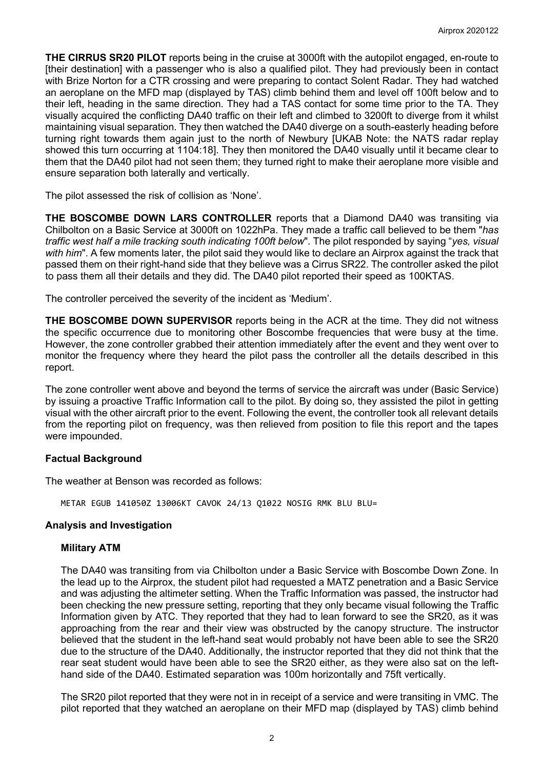**THE CIRRUS SR20 PILOT** reports being in the cruise at 3000ft with the autopilot engaged, en-route to [their destination] with a passenger who is also a qualified pilot. They had previously been in contact with Brize Norton for a CTR crossing and were preparing to contact Solent Radar. They had watched an aeroplane on the MFD map (displayed by TAS) climb behind them and level off 100ft below and to their left, heading in the same direction. They had a TAS contact for some time prior to the TA. They visually acquired the conflicting DA40 traffic on their left and climbed to 3200ft to diverge from it whilst maintaining visual separation. They then watched the DA40 diverge on a south-easterly heading before turning right towards them again just to the north of Newbury [UKAB Note: the NATS radar replay showed this turn occurring at 1104:18]. They then monitored the DA40 visually until it became clear to them that the DA40 pilot had not seen them; they turned right to make their aeroplane more visible and ensure separation both laterally and vertically.

The pilot assessed the risk of collision as 'None'.

**THE BOSCOMBE DOWN LARS CONTROLLER** reports that a Diamond DA40 was transiting via Chilbolton on a Basic Service at 3000ft on 1022hPa. They made a traffic call believed to be them "*has traffic west half a mile tracking south indicating 100ft below*". The pilot responded by saying "*yes, visual with him*". A few moments later, the pilot said they would like to declare an Airprox against the track that passed them on their right-hand side that they believe was a Cirrus SR22. The controller asked the pilot to pass them all their details and they did. The DA40 pilot reported their speed as 100KTAS.

The controller perceived the severity of the incident as 'Medium'.

**THE BOSCOMBE DOWN SUPERVISOR** reports being in the ACR at the time. They did not witness the specific occurrence due to monitoring other Boscombe frequencies that were busy at the time. However, the zone controller grabbed their attention immediately after the event and they went over to monitor the frequency where they heard the pilot pass the controller all the details described in this report.

The zone controller went above and beyond the terms of service the aircraft was under (Basic Service) by issuing a proactive Traffic Information call to the pilot. By doing so, they assisted the pilot in getting visual with the other aircraft prior to the event. Following the event, the controller took all relevant details from the reporting pilot on frequency, was then relieved from position to file this report and the tapes were impounded.

## **Factual Background**

The weather at Benson was recorded as follows:

METAR EGUB 141050Z 13006KT CAVOK 24/13 Q1022 NOSIG RMK BLU BLU=

### **Analysis and Investigation**

### **Military ATM**

The DA40 was transiting from via Chilbolton under a Basic Service with Boscombe Down Zone. In the lead up to the Airprox, the student pilot had requested a MATZ penetration and a Basic Service and was adjusting the altimeter setting. When the Traffic Information was passed, the instructor had been checking the new pressure setting, reporting that they only became visual following the Traffic Information given by ATC. They reported that they had to lean forward to see the SR20, as it was approaching from the rear and their view was obstructed by the canopy structure. The instructor believed that the student in the left-hand seat would probably not have been able to see the SR20 due to the structure of the DA40. Additionally, the instructor reported that they did not think that the rear seat student would have been able to see the SR20 either, as they were also sat on the lefthand side of the DA40. Estimated separation was 100m horizontally and 75ft vertically.

The SR20 pilot reported that they were not in in receipt of a service and were transiting in VMC. The pilot reported that they watched an aeroplane on their MFD map (displayed by TAS) climb behind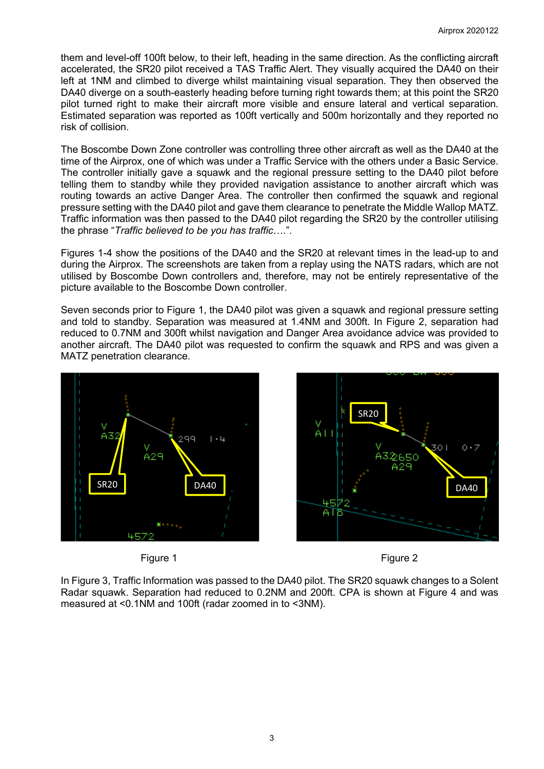them and level-off 100ft below, to their left, heading in the same direction. As the conflicting aircraft accelerated, the SR20 pilot received a TAS Traffic Alert. They visually acquired the DA40 on their left at 1NM and climbed to diverge whilst maintaining visual separation. They then observed the DA40 diverge on a south-easterly heading before turning right towards them; at this point the SR20 pilot turned right to make their aircraft more visible and ensure lateral and vertical separation. Estimated separation was reported as 100ft vertically and 500m horizontally and they reported no risk of collision.

The Boscombe Down Zone controller was controlling three other aircraft as well as the DA40 at the time of the Airprox, one of which was under a Traffic Service with the others under a Basic Service. The controller initially gave a squawk and the regional pressure setting to the DA40 pilot before telling them to standby while they provided navigation assistance to another aircraft which was routing towards an active Danger Area. The controller then confirmed the squawk and regional pressure setting with the DA40 pilot and gave them clearance to penetrate the Middle Wallop MATZ. Traffic information was then passed to the DA40 pilot regarding the SR20 by the controller utilising the phrase "*Traffic believed to be you has traffic*….".

Figures 1-4 show the positions of the DA40 and the SR20 at relevant times in the lead-up to and during the Airprox. The screenshots are taken from a replay using the NATS radars, which are not utilised by Boscombe Down controllers and, therefore, may not be entirely representative of the picture available to the Boscombe Down controller.

Seven seconds prior to Figure 1, the DA40 pilot was given a squawk and regional pressure setting and told to standby. Separation was measured at 1.4NM and 300ft. In Figure 2, separation had reduced to 0.7NM and 300ft whilst navigation and Danger Area avoidance advice was provided to another aircraft. The DA40 pilot was requested to confirm the squawk and RPS and was given a MATZ penetration clearance.



Figure 1 Figure 2





In Figure 3, Traffic Information was passed to the DA40 pilot. The SR20 squawk changes to a Solent Radar squawk. Separation had reduced to 0.2NM and 200ft. CPA is shown at Figure 4 and was measured at <0.1NM and 100ft (radar zoomed in to <3NM).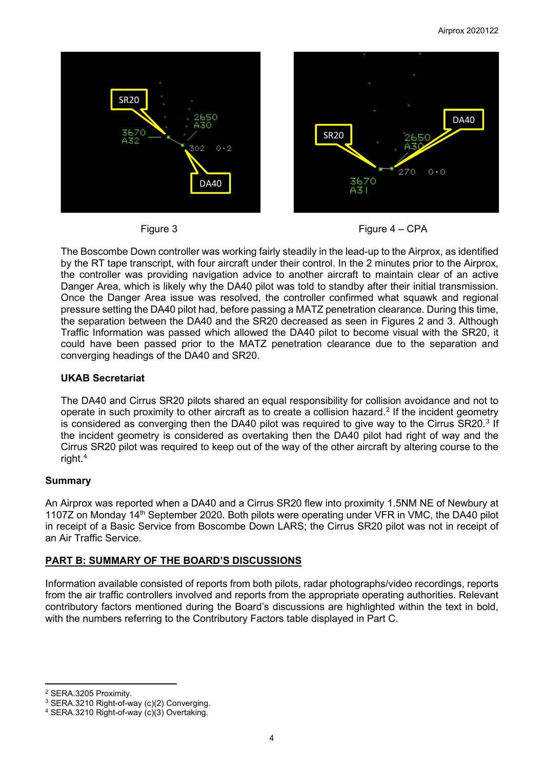



The Boscombe Down controller was working fairly steadily in the lead-up to the Airprox, as identified by the RT tape transcript, with four aircraft under their control. In the 2 minutes prior to the Airprox, the controller was providing navigation advice to another aircraft to maintain clear of an active Danger Area, which is likely why the DA40 pilot was told to standby after their initial transmission. Once the Danger Area issue was resolved, the controller confirmed what squawk and regional pressure setting the DA40 pilot had, before passing a MATZ penetration clearance. During this time, the separation between the DA40 and the SR20 decreased as seen in Figures 2 and 3. Although Traffic Information was passed which allowed the DA40 pilot to become visual with the SR20, it could have been passed prior to the MATZ penetration clearance due to the separation and converging headings of the DA40 and SR20.

## **UKAB Secretariat**

The DA40 and Cirrus SR20 pilots shared an equal responsibility for collision avoidance and not to operate in such proximity to other aircraft as to create a collision hazard. [2](#page-3-0) If the incident geometry is considered as converging then the DA40 pilot was required to give way to the Cirrus SR20.<sup>[3](#page-3-1)</sup> If the incident geometry is considered as overtaking then the DA40 pilot had right of way and the Cirrus SR20 pilot was required to keep out of the way of the other aircraft by altering course to the right. [4](#page-3-2)

## **Summary**

An Airprox was reported when a DA40 and a Cirrus SR20 flew into proximity 1.5NM NE of Newbury at 1107Z on Mondav 14<sup>th</sup> September 2020. Both pilots were operating under VFR in VMC, the DA40 pilot in receipt of a Basic Service from Boscombe Down LARS; the Cirrus SR20 pilot was not in receipt of an Air Traffic Service.

# **PART B: SUMMARY OF THE BOARD'S DISCUSSIONS**

Information available consisted of reports from both pilots, radar photographs/video recordings, reports from the air traffic controllers involved and reports from the appropriate operating authorities. Relevant contributory factors mentioned during the Board's discussions are highlighted within the text in bold, with the numbers referring to the Contributory Factors table displayed in Part C.

<span id="page-3-0"></span><sup>2</sup> SERA.3205 Proximity.

<span id="page-3-1"></span><sup>&</sup>lt;sup>3</sup> SERA.3210 Right-of-way (c)(2) Converging.

<span id="page-3-2"></span><sup>4</sup> SERA.3210 Right-of-way (c)(3) Overtaking.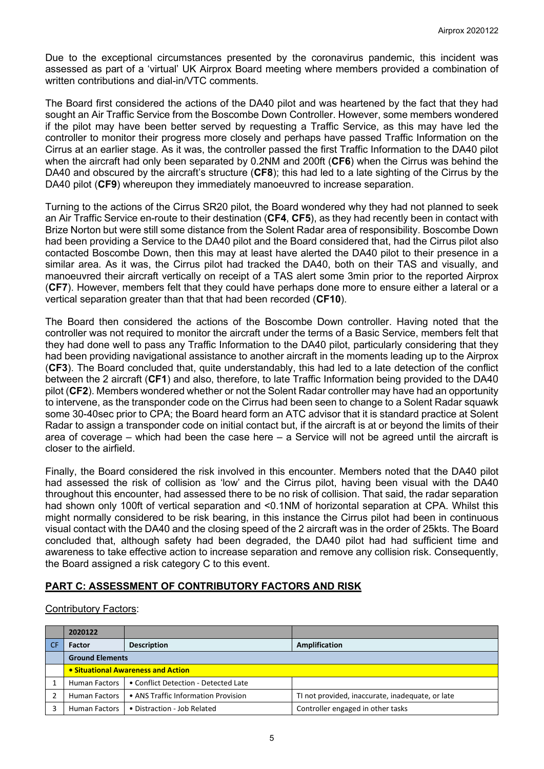Due to the exceptional circumstances presented by the coronavirus pandemic, this incident was assessed as part of a 'virtual' UK Airprox Board meeting where members provided a combination of written contributions and dial-in/VTC comments.

The Board first considered the actions of the DA40 pilot and was heartened by the fact that they had sought an Air Traffic Service from the Boscombe Down Controller. However, some members wondered if the pilot may have been better served by requesting a Traffic Service, as this may have led the controller to monitor their progress more closely and perhaps have passed Traffic Information on the Cirrus at an earlier stage. As it was, the controller passed the first Traffic Information to the DA40 pilot when the aircraft had only been separated by 0.2NM and 200ft (**CF6**) when the Cirrus was behind the DA40 and obscured by the aircraft's structure (**CF8**); this had led to a late sighting of the Cirrus by the DA40 pilot (**CF9**) whereupon they immediately manoeuvred to increase separation.

Turning to the actions of the Cirrus SR20 pilot, the Board wondered why they had not planned to seek an Air Traffic Service en-route to their destination (**CF4**, **CF5**), as they had recently been in contact with Brize Norton but were still some distance from the Solent Radar area of responsibility. Boscombe Down had been providing a Service to the DA40 pilot and the Board considered that, had the Cirrus pilot also contacted Boscombe Down, then this may at least have alerted the DA40 pilot to their presence in a similar area. As it was, the Cirrus pilot had tracked the DA40, both on their TAS and visually, and manoeuvred their aircraft vertically on receipt of a TAS alert some 3min prior to the reported Airprox (**CF7**). However, members felt that they could have perhaps done more to ensure either a lateral or a vertical separation greater than that that had been recorded (**CF10**).

The Board then considered the actions of the Boscombe Down controller. Having noted that the controller was not required to monitor the aircraft under the terms of a Basic Service, members felt that they had done well to pass any Traffic Information to the DA40 pilot, particularly considering that they had been providing navigational assistance to another aircraft in the moments leading up to the Airprox (**CF3**). The Board concluded that, quite understandably, this had led to a late detection of the conflict between the 2 aircraft (**CF1**) and also, therefore, to late Traffic Information being provided to the DA40 pilot (**CF2**). Members wondered whether or not the Solent Radar controller may have had an opportunity to intervene, as the transponder code on the Cirrus had been seen to change to a Solent Radar squawk some 30-40sec prior to CPA; the Board heard form an ATC advisor that it is standard practice at Solent Radar to assign a transponder code on initial contact but, if the aircraft is at or beyond the limits of their area of coverage – which had been the case here – a Service will not be agreed until the aircraft is closer to the airfield.

Finally, the Board considered the risk involved in this encounter. Members noted that the DA40 pilot had assessed the risk of collision as 'low' and the Cirrus pilot, having been visual with the DA40 throughout this encounter, had assessed there to be no risk of collision. That said, the radar separation had shown only 100ft of vertical separation and <0.1NM of horizontal separation at CPA. Whilst this might normally considered to be risk bearing, in this instance the Cirrus pilot had been in continuous visual contact with the DA40 and the closing speed of the 2 aircraft was in the order of 25kts. The Board concluded that, although safety had been degraded, the DA40 pilot had had sufficient time and awareness to take effective action to increase separation and remove any collision risk. Consequently, the Board assigned a risk category C to this event.

# **PART C: ASSESSMENT OF CONTRIBUTORY FACTORS AND RISK**

### Contributory Factors:

| 2020122                            |                                      |                                                  |  |  |
|------------------------------------|--------------------------------------|--------------------------------------------------|--|--|
| <b>Factor</b>                      | <b>Description</b>                   | Amplification                                    |  |  |
| <b>Ground Elements</b>             |                                      |                                                  |  |  |
| • Situational Awareness and Action |                                      |                                                  |  |  |
| Human Factors                      | • Conflict Detection - Detected Late |                                                  |  |  |
| <b>Human Factors</b>               | • ANS Traffic Information Provision  | TI not provided, inaccurate, inadequate, or late |  |  |
| <b>Human Factors</b>               | • Distraction - Job Related          | Controller engaged in other tasks                |  |  |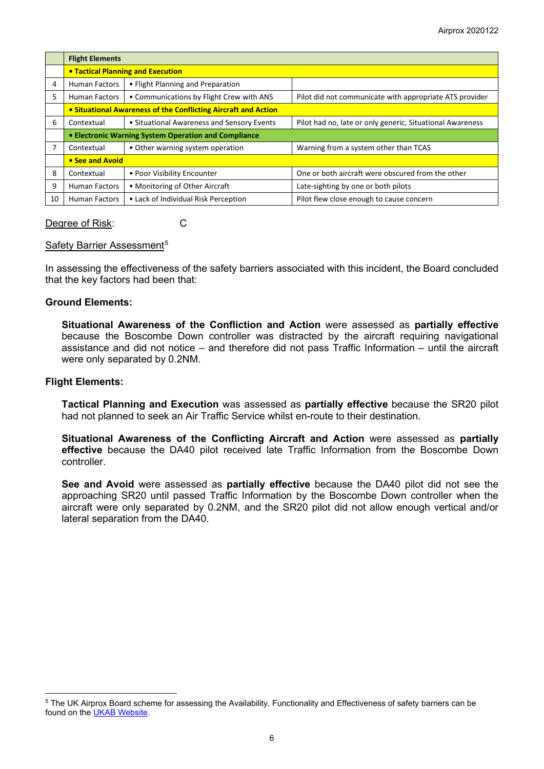|    | <b>Flight Elements</b>                                         |                                            |                                                           |  |  |
|----|----------------------------------------------------------------|--------------------------------------------|-----------------------------------------------------------|--|--|
|    | <b>. Tactical Planning and Execution</b>                       |                                            |                                                           |  |  |
| 4  | <b>Human Factors</b>                                           | • Flight Planning and Preparation          |                                                           |  |  |
| 5  | <b>Human Factors</b>                                           | • Communications by Flight Crew with ANS   | Pilot did not communicate with appropriate ATS provider   |  |  |
|    | • Situational Awareness of the Conflicting Aircraft and Action |                                            |                                                           |  |  |
| 6  | Contextual                                                     | • Situational Awareness and Sensory Events | Pilot had no, late or only generic, Situational Awareness |  |  |
|    | • Electronic Warning System Operation and Compliance           |                                            |                                                           |  |  |
|    | Contextual                                                     | • Other warning system operation           | Warning from a system other than TCAS                     |  |  |
|    | • See and Avoid                                                |                                            |                                                           |  |  |
| 8  | Contextual                                                     | • Poor Visibility Encounter                | One or both aircraft were obscured from the other         |  |  |
| 9  | <b>Human Factors</b>                                           | • Monitoring of Other Aircraft             | Late-sighting by one or both pilots                       |  |  |
| 10 | <b>Human Factors</b>                                           | • Lack of Individual Risk Perception       | Pilot flew close enough to cause concern                  |  |  |

### Degree of Risk: C

### Safety Barrier Assessment<sup>[5](#page-5-0)</sup>

In assessing the effectiveness of the safety barriers associated with this incident, the Board concluded that the key factors had been that:

### **Ground Elements:**

**Situational Awareness of the Confliction and Action** were assessed as **partially effective** because the Boscombe Down controller was distracted by the aircraft requiring navigational assistance and did not notice – and therefore did not pass Traffic Information – until the aircraft were only separated by 0.2NM.

#### **Flight Elements:**

**Tactical Planning and Execution** was assessed as **partially effective** because the SR20 pilot had not planned to seek an Air Traffic Service whilst en-route to their destination.

**Situational Awareness of the Conflicting Aircraft and Action** were assessed as **partially effective** because the DA40 pilot received late Traffic Information from the Boscombe Down controller.

**See and Avoid** were assessed as **partially effective** because the DA40 pilot did not see the approaching SR20 until passed Traffic Information by the Boscombe Down controller when the aircraft were only separated by 0.2NM, and the SR20 pilot did not allow enough vertical and/or lateral separation from the DA40.

<span id="page-5-0"></span><sup>&</sup>lt;sup>5</sup> The UK Airprox Board scheme for assessing the Availability, Functionality and Effectiveness of safety barriers can be found on the [UKAB Website.](http://www.airproxboard.org.uk/Learn-more/Airprox-Barrier-Assessment/)